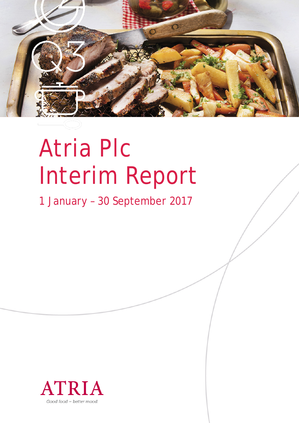

# Atria Plc Interim Report

1 January – 30 September 2017

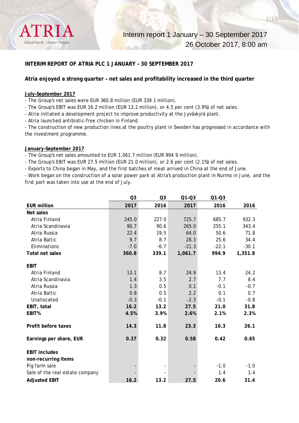

#### **INTERIM REPORT OF ATRIA PLC 1 JANUARY – 30 SEPTEMBER 2017**

#### **Atria enjoyed a strong quarter – net sales and profitability increased in the third quarter**

#### **July–September 2017**

- The Group's net sales were EUR 360.8 million (EUR 339.1 million).

- The Group's EBIT was EUR 16.2 million (EUR 13.2 million), or 4.5 per cent (3.9%) of net sales.

- Atria initiated a development project to improve productivity at the Jyväskylä plant.

- Atria launched antibiotic-free chicken in Finland.

- The construction of new production lines at the poultry plant in Sweden has progressed in accordance with the investment programme.

#### **January–September 2017**

- The Group's net sales amounted to EUR 1,061.7 million (EUR 994.9 million).

- The Group's EBIT was EUR 27.5 million (EUR 21.0 million), or 2.6 per cent (2.1%) of net sales.

- Exports to China began in May, and the first batches of meat arrived in China at the end of June.

- Work began on the construction of a solar power park at Atria's production plant in Nurmo in June, and the first part was taken into use at the end of July.

|                                 | Q <sub>3</sub> | Q <sub>3</sub> | $Q1 - Q3$ | $Q1 - Q3$ |         |
|---------------------------------|----------------|----------------|-----------|-----------|---------|
| <b>EUR million</b>              | 2017           | 2016           | 2017      | 2016      | 2016    |
| Net sales                       |                |                |           |           |         |
| Atria Finland                   | 245.0          | 227.0          | 725.7     | 685.7     | 932.3   |
| Atria Scandinavia               | 90.7           | 90.6           | 265.0     | 255.1     | 343.4   |
| Atria Russia                    | 22.4           | 19.5           | 64.0      | 50.6      | 71.8    |
| Atria Baltic                    | 9.7            | 8.7            | 28.3      | 25.6      | 34.4    |
| Eliminations                    | $-7.0$         | $-6.7$         | $-21.3$   | $-22.1$   | $-30.1$ |
| <b>Total net sales</b>          | 360.8          | 339.1          | 1,061.7   | 994.9     | 1,351.8 |
|                                 |                |                |           |           |         |
| <b>EBIT</b>                     |                |                |           |           |         |
| Atria Finland                   | 13.1           | 8.7            | 24.9      | 13.4      | 24.2    |
| Atria Scandinavia               | 1.4            | 3.5            | 2.7       | 7.7       | 8.4     |
| Atria Russia                    | 1.3            | 0.5            | 0.1       | $-0.1$    | $-0.7$  |
| Atria Baltic                    | 0.8            | 0.5            | 2.2       | 0.1       | 0.7     |
| Unallocated                     | $-0.3$         | $-0.1$         | $-2.3$    | $-0.1$    | $-0.8$  |
| EBIT, total                     | 16.2           | 13.2           | 27.5      | 21.0      | 31.8    |
| EBIT%                           | 4.5%           | 3.9%           | 2.6%      | 2.1%      | 2.3%    |
| Profit before taxes             | 14.3           | 11.8           | 23.3      | 16.3      | 26.1    |
| Earnings per share, EUR         | 0.37           | 0.32           | 0.58      | 0.42      | 0.65    |
| <b>EBIT includes</b>            |                |                |           |           |         |
| non-recurring items             |                |                |           |           |         |
| Pig farm sale                   |                |                |           | $-1.0$    | $-1.0$  |
| Sale of the real estate company |                |                |           | 1.4       | 1.4     |
| <b>Adjusted EBIT</b>            | 16.2           | 13.2           | 27.5      | 20.6      | 31.4    |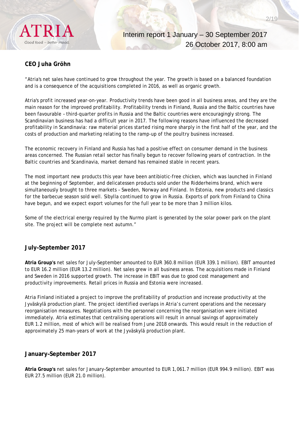

# **CEO Juha Gröhn**

"Atria's net sales have continued to grow throughout the year. The growth is based on a balanced foundation and is a consequence of the acquisitions completed in 2016, as well as organic growth.

Atria's profit increased year-on-year. Productivity trends have been good in all business areas, and they are the main reason for the improved profitability. Profitability trends in Finland, Russia and the Baltic countries have been favourable – third-quarter profits in Russia and the Baltic countries were encouragingly strong. The Scandinavian business has had a difficult year in 2017. The following reasons have influenced the decreased profitability in Scandinavia: raw material prices started rising more sharply in the first half of the year, and the costs of production and marketing relating to the ramp-up of the poultry business increased.

The economic recovery in Finland and Russia has had a positive effect on consumer demand in the business areas concerned. The Russian retail sector has finally begun to recover following years of contraction. In the Baltic countries and Scandinavia, market demand has remained stable in recent years.

The most important new products this year have been antibiotic-free chicken, which was launched in Finland at the beginning of September, and delicatessen products sold under the Ridderheims brand, which were simultaneously brought to three markets – Sweden, Norway and Finland. In Estonia, new products and classics for the barbecue season sold well. Sibylla continued to grow in Russia. Exports of pork from Finland to China have begun, and we expect export volumes for the full year to be more than 3 million kilos.

Some of the electrical energy required by the Nurmo plant is generated by the solar power park on the plant site. The project will be complete next autumn."

#### **July–September 2017**

**Atria Group's** net sales for July–September amounted to EUR 360.8 million (EUR 339.1 million). EBIT amounted to EUR 16.2 million (EUR 13.2 million). Net sales grew in all business areas. The acquisitions made in Finland and Sweden in 2016 supported growth. The increase in EBIT was due to good cost management and productivity improvements. Retail prices in Russia and Estonia were increased.

Atria Finland initiated a project to improve the profitability of production and increase productivity at the Jyväskylä production plant. The project identified overlaps in Atria's current operations and the necessary reorganisation measures. Negotiations with the personnel concerning the reorganisation were initiated immediately. Atria estimates that centralising operations will result in annual savings of approximately EUR 1.2 million, most of which will be realised from June 2018 onwards. This would result in the reduction of approximately 25 man-years of work at the Jyväskylä production plant.

#### **January–September 2017**

**Atria Group's** net sales for January–September amounted to EUR 1,061.7 million (EUR 994.9 million). EBIT was EUR 27.5 million (EUR 21.0 million).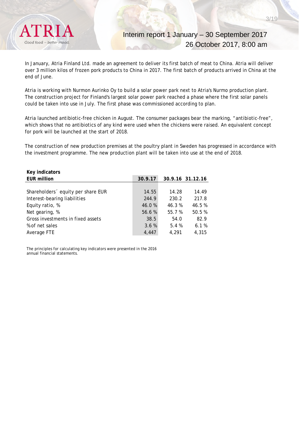

Interim report 1 January – 30 September 2017 26 October 2017, 8:00 am

In January, Atria Finland Ltd. made an agreement to deliver its first batch of meat to China. Atria will deliver over 3 million kilos of frozen pork products to China in 2017. The first batch of products arrived in China at the end of June.

Atria is working with Nurmon Aurinko Oy to build a solar power park next to Atria's Nurmo production plant. The construction project for Finland's largest solar power park reached a phase where the first solar panels could be taken into use in July. The first phase was commissioned according to plan.

Atria launched antibiotic-free chicken in August. The consumer packages bear the marking, "antibiotic-free", which shows that no antibiotics of any kind were used when the chickens were raised. An equivalent concept for pork will be launched at the start of 2018.

The construction of new production premises at the poultry plant in Sweden has progressed in accordance with the investment programme. The new production plant will be taken into use at the end of 2018.

| Key indicators                     |         |        |                  |
|------------------------------------|---------|--------|------------------|
| <b>EUR million</b>                 | 30.9.17 |        | 30.9.16 31.12.16 |
|                                    |         |        |                  |
| Shareholders 'equity per share EUR | 14.55   | 14.28  | 14.49            |
| Interest-bearing liabilities       | 244.9   | 230.2  | 217.8            |
| Equity ratio, %                    | 46.0%   | 46.3 % | 46.5%            |
| Net gearing, %                     | 56.6%   | 55.7 % | 50.5 %           |
| Gross investments in fixed assets  | 38.5    | 54.0   | 82.9             |
| % of net sales                     | 3.6%    | 5.4%   | 6.1%             |
| Average FTE                        | 4.447   | 4.291  | 4,315            |

The principles for calculating key indicators were presented in the 2016 annual financial statements.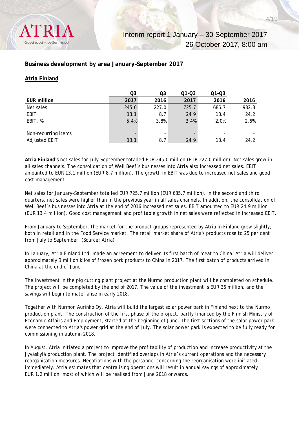

# **Business development by area January–September 2017**

#### **Atria Finland**

|                      | Q3    | Q3                       | $Q1 - Q3$ | $Q1 - Q3$                |       |
|----------------------|-------|--------------------------|-----------|--------------------------|-------|
| <b>EUR million</b>   | 2017  | 2016                     | 2017      | 2016                     | 2016  |
| Net sales            | 245.0 | 227.0                    | 725.7     | 685.7                    | 932.3 |
| <b>EBIT</b>          | 13.1  | 8.7                      | 24.9      | 13.4                     | 24.2  |
| EBIT, %              | 5.4%  | 3.8%                     | 3.4%      | 2.0%                     | 2.6%  |
|                      |       |                          |           |                          |       |
| Non-recurring items  |       | $\overline{\phantom{0}}$ |           | $\overline{\phantom{0}}$ |       |
| <b>Adjusted EBIT</b> | 13.1  | 8.7                      | 24.9      | 13.4                     | 24.2  |

**Atria Finland's** net sales for July–September totalled EUR 245.0 million (EUR 227.0 million). Net sales grew in all sales channels. The consolidation of Well Beef's businesses into Atria also increased net sales. EBIT amounted to EUR 13.1 million (EUR 8.7 million). The growth in EBIT was due to increased net sales and good cost management.

Net sales for January–September totalled EUR 725.7 million (EUR 685.7 million). In the second and third quarters, net sales were higher than in the previous year in all sales channels. In addition, the consolidation of Well Beef's businesses into Atria at the end of 2016 increased net sales. EBIT amounted to EUR 24.9 million (EUR 13.4 million). Good cost management and profitable growth in net sales were reflected in increased EBIT.

From January to September, the market for the product groups represented by Atria in Finland grew slightly, both in retail and in the Food Service market. The retail market share of Atria's products rose to 25 per cent from July to September. (Source: Atria)

In January, Atria Finland Ltd. made an agreement to deliver its first batch of meat to China. Atria will deliver approximately 3 million kilos of frozen pork products to China in 2017. The first batch of products arrived in China at the end of June.

The investment in the pig cutting plant project at the Nurmo production plant will be completed on schedule. The project will be completed by the end of 2017. The value of the investment is EUR 36 million, and the savings will begin to materialise in early 2018.

Together with Nurmon Aurinko Oy, Atria will build the largest solar power park in Finland next to the Nurmo production plant. The construction of the first phase of the project, partly financed by the Finnish Ministry of Economic Affairs and Employment, started at the beginning of June. The first sections of the solar power park were connected to Atria's power grid at the end of July. The solar power park is expected to be fully ready for commissioning in autumn 2018.

In August, Atria initiated a project to improve the profitability of production and increase productivity at the Jyväskylä production plant. The project identified overlaps in Atria's current operations and the necessary reorganisation measures. Negotiations with the personnel concerning the reorganisation were initiated immediately. Atria estimates that centralising operations will result in annual savings of approximately EUR 1.2 million, most of which will be realised from June 2018 onwards.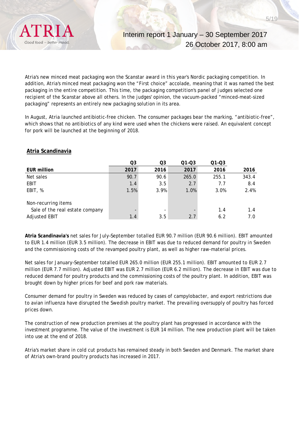

Atria's new minced meat packaging won the Scanstar award in this year's Nordic packaging competition. In addition, Atria's minced meat packaging won the "First choice" accolade, meaning that it was named the best packaging in the entire competition. This time, the packaging competition's panel of judges selected one recipient of the Scanstar above all others. In the judges' opinion, the vacuum-packed "minced-meat-sized packaging" represents an entirely new packaging solution in its area.

In August, Atria launched antibiotic-free chicken. The consumer packages bear the marking, "antibiotic-free", which shows that no antibiotics of any kind were used when the chickens were raised. An equivalent concept for pork will be launched at the beginning of 2018.

|                                 | Q3   | Q3   | $Q1 - Q3$ | $Q1 - Q3$ |       |
|---------------------------------|------|------|-----------|-----------|-------|
| <b>EUR million</b>              | 2017 | 2016 | 2017      | 2016      | 2016  |
| Net sales                       | 90.7 | 90.6 | 265.0     | 255.1     | 343.4 |
| EBIT                            | 1.4  | 3.5  | 2.7       | 7.7       | 8.4   |
| EBIT, %                         | 1.5% | 3.9% | 1.0%      | 3.0%      | 2.4%  |
| Non-recurring items             |      |      |           |           |       |
| Sale of the real estate company |      |      |           | 1.4       | 1.4   |
| <b>Adjusted EBIT</b>            | 1.4  | 3.5  | 2.7       | 6.2       | 7.0   |

#### **Atria Scandinavia**

**Atria Scandinavia's** net sales for July–September totalled EUR 90.7 million (EUR 90.6 million). EBIT amounted to EUR 1.4 million (EUR 3.5 million). The decrease in EBIT was due to reduced demand for poultry in Sweden and the commissioning costs of the revamped poultry plant, as well as higher raw-material prices.

Net sales for January–September totalled EUR 265.0 million (EUR 255.1 million). EBIT amounted to EUR 2.7 million (EUR 7.7 million). Adjusted EBIT was EUR 2.7 million (EUR 6.2 million). The decrease in EBIT was due to reduced demand for poultry products and the commissioning costs of the poultry plant. In addition, EBIT was brought down by higher prices for beef and pork raw materials.

Consumer demand for poultry in Sweden was reduced by cases of campylobacter, and export restrictions due to avian influenza have disrupted the Swedish poultry market. The prevailing oversupply of poultry has forced prices down.

The construction of new production premises at the poultry plant has progressed in accordance with the investment programme. The value of the investment is EUR 14 million. The new production plant will be taken into use at the end of 2018.

Atria's market share in cold cut products has remained steady in both Sweden and Denmark. The market share of Atria's own-brand poultry products has increased in 2017.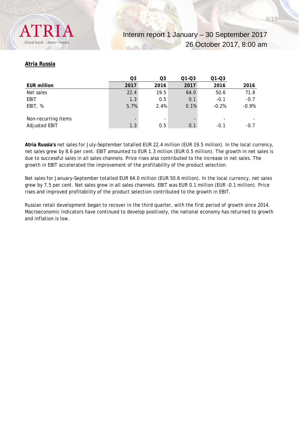

#### **Atria Russia**

|                      | Q3   | Q3   | $Q1 - Q3$ | $Q1 - Q3$ |         |
|----------------------|------|------|-----------|-----------|---------|
| <b>EUR million</b>   | 2017 | 2016 | 2017      | 2016      | 2016    |
| Net sales            | 22.4 | 19.5 | 64.0      | 50.6      | 71.8    |
| <b>EBIT</b>          | 1.3  | 0.5  | 0.1       | $-0.1$    | $-0.7$  |
| EBIT, %              | 5.7% | 2.4% | 0.1%      | $-0.2%$   | $-0.9%$ |
|                      |      |      |           |           |         |
| Non-recurring items  |      | -    | -         |           |         |
| <b>Adjusted EBIT</b> | 1.3  | 0.5  | 0.1       | $-0.1$    | $-0.7$  |

**Atria Russia's** net sales for July–September totalled EUR 22.4 million (EUR 19.5 million). In the local currency, net sales grew by 8.6 per cent. EBIT amounted to EUR 1.3 million (EUR 0.5 million). The growth in net sales is due to successful sales in all sales channels. Price rises also contributed to the increase in net sales. The growth in EBIT accelerated the improvement of the profitability of the product selection.

Net sales for January–September totalled EUR 64.0 million (EUR 50.6 million). In the local currency, net sales grew by 7.5 per cent. Net sales grew in all sales channels. EBIT was EUR 0.1 million (EUR -0.1 million). Price rises and improved profitability of the product selection contributed to the growth in EBIT.

Russian retail development began to recover in the third quarter, with the first period of growth since 2014. Macroeconomic indicators have continued to develop positively, the national economy has returned to growth and inflation is low.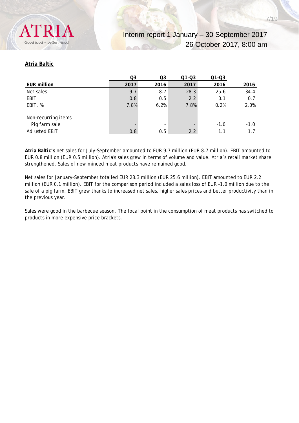

#### **Atria Baltic**

|                      | Q3   | Q3                       | $Q1 - Q3$ | $Q1 - Q3$ |        |
|----------------------|------|--------------------------|-----------|-----------|--------|
| <b>EUR million</b>   | 2017 | 2016                     | 2017      | 2016      | 2016   |
| Net sales            | 9.7  | 8.7                      | 28.3      | 25.6      | 34.4   |
| <b>EBIT</b>          | 0.8  | 0.5                      | 2.2       | 0.1       | 0.7    |
| EBIT, %              | 7.8% | 6.2%                     | 7.8%      | 0.2%      | 2.0%   |
|                      |      |                          |           |           |        |
| Non-recurring items  |      |                          |           |           |        |
| Pig farm sale        |      | $\overline{\phantom{0}}$ |           | $-1.0$    | $-1.0$ |
| <b>Adjusted EBIT</b> | 0.8  | 0.5                      | 2.2       | 1.1       | 1.7    |

**Atria Baltic's** net sales for July–September amounted to EUR 9.7 million (EUR 8.7 million). EBIT amounted to EUR 0.8 million (EUR 0.5 million). Atria's sales grew in terms of volume and value. Atria's retail market share strengthened. Sales of new minced meat products have remained good.

Net sales for January–September totalled EUR 28.3 million (EUR 25.6 million). EBIT amounted to EUR 2.2 million (EUR 0.1 million). EBIT for the comparison period included a sales loss of EUR -1.0 million due to the sale of a pig farm. EBIT grew thanks to increased net sales, higher sales prices and better productivity than in the previous year.

Sales were good in the barbecue season. The focal point in the consumption of meat products has switched to products in more expensive price brackets.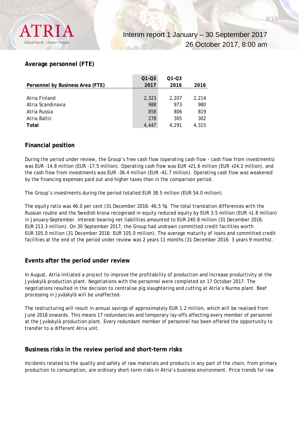

# **Average personnel (FTE)**

|                                  | $Q1 - Q3$ | $Q1 - Q3$ |       |
|----------------------------------|-----------|-----------|-------|
| Personnel by Business Area (FTE) | 2017      | 2016      | 2016  |
|                                  |           |           |       |
| Atria Finland                    | 2,323     | 2.207     | 2,214 |
| Atria Scandinavia                | 988       | 973       | 980   |
| Atria Russia                     | 858       | 806       | 819   |
| Atria Baltic                     | 278       | 305       | 302   |
| Total                            | 4,447     | 4.291     | 4.315 |

# **Financial position**

During the period under review, the Group's free cash flow (operating cash flow - cash flow from investments) was EUR -14.8 million (EUR -17.5 million). Operating cash flow was EUR +21.6 million (EUR +24.2 million), and the cash flow from investments was EUR -36.4 million (EUR -41.7 million). Operating cash flow was weakened by the financing expenses paid out and higher taxes than in the comparison period.

The Group's investments during the period totalled EUR 38.5 million (EUR 54.0 million).

The equity ratio was 46.0 per cent (31 December 2016: 46,5 %). The total translation differences with the Russian rouble and the Swedish krona recognised in equity reduced equity by EUR 3.5 million (EUR +1.8 million) in January–September. Interest-bearing net liabilities amounted to EUR 240.8 million (31 December 2016: EUR 213.3 million). On 30 September 2017, the Group had undrawn committed credit facilities worth EUR 105.0 million (31 December 2016: EUR 105.0 million). The average maturity of loans and committed credit facilities at the end of the period under review was 2 years 11 months (31 December 2016: 3 years 9 months).

# **Events after the period under review**

In August, Atria initiated a project to improve the profitability of production and increase productivity at the Jyväskylä production plant. Negotiations with the personnel were completed on 17 October 2017. The negotiations resulted in the decision to centralise pig slaughtering and cutting at Atria's Nurmo plant. Beef processing in Jyväskylä will be unaffected.

The restructuring will result in annual savings of approximately EUR 1.2 million, which will be realised from June 2018 onwards. This means 17 redundancies and temporary lay-offs affecting every member of personnel at the Jyväskylä production plant. Every redundant member of personnel has been offered the opportunity to transfer to a different Atria unit.

# **Business risks in the review period and short-term risks**

Incidents related to the quality and safety of raw materials and products in any part of the chain, from primary production to consumption, are ordinary short-term risks in Atria's business environment. Price trends for raw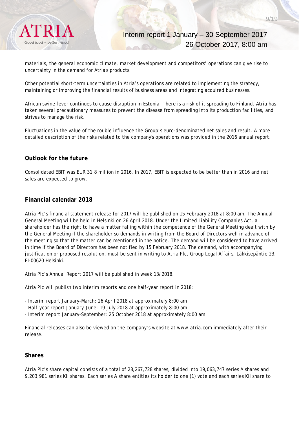

Interim report 1 January – 30 September 2017 26 October 2017, 8:00 am

materials, the general economic climate, market development and competitors' operations can give rise to uncertainty in the demand for Atria's products.

Other potential short-term uncertainties in Atria's operations are related to implementing the strategy, maintaining or improving the financial results of business areas and integrating acquired businesses.

African swine fever continues to cause disruption in Estonia. There is a risk of it spreading to Finland. Atria has taken several precautionary measures to prevent the disease from spreading into its production facilities, and strives to manage the risk.

Fluctuations in the value of the rouble influence the Group's euro-denominated net sales and result. A more detailed description of the risks related to the company's operations was provided in the 2016 annual report.

# **Outlook for the future**

Consolidated EBIT was EUR 31.8 million in 2016. In 2017, EBIT is expected to be better than in 2016 and net sales are expected to grow.

#### **Financial calendar 2018**

Atria Plc's financial statement release for 2017 will be published on 15 February 2018 at 8:00 am. The Annual General Meeting will be held in Helsinki on 26 April 2018. Under the Limited Liability Companies Act, a shareholder has the right to have a matter falling within the competence of the General Meeting dealt with by the General Meeting if the shareholder so demands in writing from the Board of Directors well in advance of the meeting so that the matter can be mentioned in the notice. The demand will be considered to have arrived in time if the Board of Directors has been notified by 15 February 2018. The demand, with accompanying justification or proposed resolution, must be sent in writing to Atria Plc, Group Legal Affairs, Läkkisepäntie 23, FI-00620 Helsinki.

Atria Plc's Annual Report 2017 will be published in week 13/2018.

Atria Plc will publish two interim reports and one half-year report in 2018:

- Interim report January–March: 26 April 2018 at approximately 8:00 am

- Half-year report January–June: 19 July 2018 at approximately 8:00 am
- Interim report January–September: 25 October 2018 at approximately 8:00 am

Financial releases can also be viewed on the company's website at www.atria.com immediately after their release.

#### **Shares**

Atria Plc's share capital consists of a total of 28,267,728 shares, divided into 19,063,747 series A shares and 9,203,981 series KII shares. Each series A share entitles its holder to one (1) vote and each series KII share to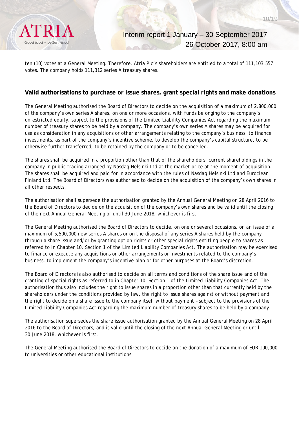ten (10) votes at a General Meeting. Therefore, Atria Plc's shareholders are entitled to a total of 111,103,557 votes. The company holds 111,312 series A treasury shares.

# **Valid authorisations to purchase or issue shares, grant special rights and make donations**

The General Meeting authorised the Board of Directors to decide on the acquisition of a maximum of 2,800,000 of the company's own series A shares, on one or more occasions, with funds belonging to the company's unrestricted equity, subject to the provisions of the Limited Liability Companies Act regarding the maximum number of treasury shares to be held by a company. The company's own series A shares may be acquired for use as consideration in any acquisitions or other arrangements relating to the company's business, to finance investments, as part of the company's incentive scheme, to develop the company's capital structure, to be otherwise further transferred, to be retained by the company or to be cancelled.

The shares shall be acquired in a proportion other than that of the shareholders' current shareholdings in the company in public trading arranged by Nasdaq Helsinki Ltd at the market price at the moment of acquisition. The shares shall be acquired and paid for in accordance with the rules of Nasdaq Helsinki Ltd and Euroclear Finland Ltd. The Board of Directors was authorised to decide on the acquisition of the company's own shares in all other respects.

The authorisation shall supersede the authorisation granted by the Annual General Meeting on 28 April 2016 to the Board of Directors to decide on the acquisition of the company's own shares and be valid until the closing of the next Annual General Meeting or until 30 June 2018, whichever is first.

The General Meeting authorised the Board of Directors to decide, on one or several occasions, on an issue of a maximum of 5,500,000 new series A shares or on the disposal of any series A shares held by the company through a share issue and/or by granting option rights or other special rights entitling people to shares as referred to in Chapter 10, Section 1 of the Limited Liability Companies Act. The authorisation may be exercised to finance or execute any acquisitions or other arrangements or investments related to the company's business, to implement the company's incentive plan or for other purposes at the Board's discretion.

The Board of Directors is also authorised to decide on all terms and conditions of the share issue and of the granting of special rights as referred to in Chapter 10, Section 1 of the Limited Liability Companies Act. The authorisation thus also includes the right to issue shares in a proportion other than that currently held by the shareholders under the conditions provided by law, the right to issue shares against or without payment and the right to decide on a share issue to the company itself without payment – subject to the provisions of the Limited Liability Companies Act regarding the maximum number of treasury shares to be held by a company.

The authorisation supersedes the share issue authorisation granted by the Annual General Meeting on 28 April 2016 to the Board of Directors, and is valid until the closing of the next Annual General Meeting or until 30 June 2018, whichever is first.

The General Meeting authorised the Board of Directors to decide on the donation of a maximum of EUR 100,000 to universities or other educational institutions.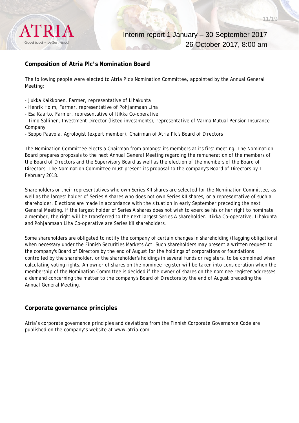

# **Composition of Atria Plc's Nomination Board**

The following people were elected to Atria Plc's Nomination Committee, appointed by the Annual General Meeting:

- Jukka Kaikkonen, Farmer, representative of Lihakunta
- Henrik Holm, Farmer, representative of Pohjanmaan Liha
- Esa Kaarto, Farmer, representative of Itikka Co-operative

- Timo Sallinen, Investment Director (listed investments), representative of Varma Mutual Pension Insurance Company

- Seppo Paavola, Agrologist (expert member), Chairman of Atria Plc's Board of Directors

The Nomination Committee elects a Chairman from amongst its members at its first meeting. The Nomination Board prepares proposals to the next Annual General Meeting regarding the remuneration of the members of the Board of Directors and the Supervisory Board as well as the election of the members of the Board of Directors. The Nomination Committee must present its proposal to the company's Board of Directors by 1 February 2018.

Shareholders or their representatives who own Series KII shares are selected for the Nomination Committee, as well as the largest holder of Series A shares who does not own Series KII shares, or a representative of such a shareholder. Elections are made in accordance with the situation in early September preceding the next General Meeting. If the largest holder of Series A shares does not wish to exercise his or her right to nominate a member, the right will be transferred to the next largest Series A shareholder. Itikka Co-operative, Lihakunta and Pohjanmaan Liha Co-operative are Series KII shareholders.

Some shareholders are obligated to notify the company of certain changes in shareholding (flagging obligations) when necessary under the Finnish Securities Markets Act. Such shareholders may present a written request to the company's Board of Directors by the end of August for the holdings of corporations or foundations controlled by the shareholder, or the shareholder's holdings in several funds or registers, to be combined when calculating voting rights. An owner of shares on the nominee register will be taken into consideration when the membership of the Nomination Committee is decided if the owner of shares on the nominee register addresses a demand concerning the matter to the company's Board of Directors by the end of August preceding the Annual General Meeting.

#### **Corporate governance principles**

Atria's corporate governance principles and deviations from the Finnish Corporate Governance Code are published on the company's website at www.atria.com.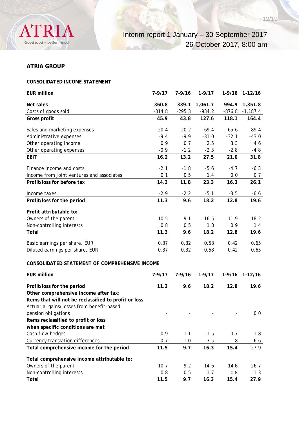

# **ATRIA GROUP**

# **CONSOLIDATED INCOME STATEMENT**

| <b>EUR million</b>                                    | $7 - 9/17$ | $7 - 9/16$ | $1 - 9/17$ | $1 - 9/16$ | $1-12/16$  |
|-------------------------------------------------------|------------|------------|------------|------------|------------|
| Net sales                                             | 360.8      | 339.1      | 1,061.7    | 994.9      | 1,351.8    |
| Costs of goods sold                                   | $-314.8$   | $-295.3$   | $-934.2$   | $-876.8$   | $-1,187.4$ |
| Gross profit                                          | 45.9       | 43.8       | 127.6      | 118.1      | 164.4      |
| Sales and marketing expenses                          | $-20.4$    | $-20.2$    | $-69.4$    | $-65.6$    | $-89.4$    |
| Administrative expenses                               | $-9.4$     | $-9.9$     | $-31.0$    | $-32.1$    | $-43.0$    |
| Other operating income                                | 0.9        | 0.7        | 2.5        | 3.3        | 4.6        |
| Other operating expenses                              | $-0.9$     | $-1.2$     | $-2.3$     | $-2.8$     | $-4.8$     |
| <b>EBIT</b>                                           | 16.2       | 13.2       | 27.5       | 21.0       | 31.8       |
| Finance income and costs                              | $-2.1$     | $-1.8$     | $-5.6$     | $-4.7$     | $-6.3$     |
| Income from joint ventures and associates             | 0.1        | 0.5        | 1.4        | 0.0        | 0.7        |
| Profit/loss for before tax                            | 14.3       | 11.8       | 23.3       | 16.3       | 26.1       |
| Income taxes                                          | $-2.9$     | $-2.2$     | $-5.1$     | $-3.5$     | $-6.6$     |
| Profit/loss for the period                            | 11.3       | 9.6        | 18.2       | 12.8       | 19.6       |
| Profit attributable to:                               |            |            |            |            |            |
| Owners of the parent                                  | 10.5       | 9.1        | 16.5       | 11.9       | 18.2       |
| Non-controlling interests                             | 0.8        | 0.5        | 1.8        | 0.9        | 1.4        |
| Total                                                 | 11.3       | 9.6        | 18.2       | 12.8       | 19.6       |
| Basic earnings per share, EUR                         | 0.37       | 0.32       | 0.58       | 0.42       | 0.65       |
| Diluted earnings per share, EUR                       | 0.37       | 0.32       | 0.58       | 0.42       | 0.65       |
| CONSOLIDATED STATEMENT OF COMPREHENSIVE INCOME        |            |            |            |            |            |
| <b>EUR million</b>                                    | $7 - 9/17$ | $7 - 9/16$ | $1 - 9/17$ | $1 - 9/16$ | $1-12/16$  |
| Profit/loss for the period                            | 11.3       | 9.6        | 18.2       | 12.8       | 19.6       |
| Other comprehensive income after tax:                 |            |            |            |            |            |
| Items that will not be reclassified to profit or loss |            |            |            |            |            |
| Actuarial gains/losses from benefit-based             |            |            |            |            |            |
|                                                       |            |            |            |            |            |

| pension obligations                         |        |        |        |      | 0.0  |
|---------------------------------------------|--------|--------|--------|------|------|
| Items reclassified to profit or loss        |        |        |        |      |      |
| when specific conditions are met            |        |        |        |      |      |
| Cash flow hedges                            | 0.9    | 1.1    | 1.5    | 0.7  | 1.8  |
| Currency translation differences            | $-0.7$ | $-1.0$ | $-3.5$ | 1.8  | 6.6  |
| Total comprehensive income for the period   | 11.5   | 9.7    | 16.3   | 15.4 | 27.9 |
| Total comprehensive income attributable to: |        |        |        |      |      |
| Owners of the parent                        | 10.7   | 9.2    | 14.6   | 14.6 | 26.7 |
| Non-controlling interests                   | 0.8    | 0.5    | 1.7    | 0.8  | 1.3  |
| Total                                       | 11.5   | 9.7    | 16.3   | 15.4 | 27.9 |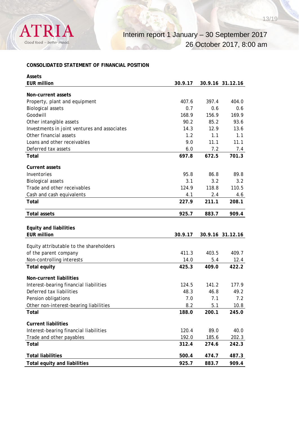

# **CONSOLIDATED STATEMENT OF FINANCIAL POSITION**

| Assets                                       |         |       |                  |
|----------------------------------------------|---------|-------|------------------|
| <b>EUR million</b>                           | 30.9.17 |       | 30.9.16 31.12.16 |
| Non-current assets                           |         |       |                  |
| Property, plant and equipment                | 407.6   | 397.4 | 404.0            |
| <b>Biological assets</b>                     | 0.7     | 0.6   | 0.6              |
| Goodwill                                     | 168.9   | 156.9 | 169.9            |
| Other intangible assets                      | 90.2    | 85.2  | 93.6             |
| Investments in joint ventures and associates | 14.3    | 12.9  | 13.6             |
| Other financial assets                       | 1.2     | 1.1   | 1.1              |
| Loans and other receivables                  | 9.0     | 11.1  | 11.1             |
| Deferred tax assets                          | 6.0     | 7.2   | 7.4              |
| Total                                        | 697.8   | 672.5 | 701.3            |
| <b>Current assets</b>                        |         |       |                  |
| Inventories                                  | 95.8    | 86.8  | 89.8             |
| <b>Biological assets</b>                     | 3.1     | 3.2   | 3.2              |
| Trade and other receivables                  | 124.9   | 118.8 | 110.5            |
| Cash and cash equivalents                    | 4.1     | 2.4   | 4.6              |
| Total                                        | 227.9   | 211.1 | 208.1            |
| <b>Total assets</b>                          | 925.7   | 883.7 | 909.4            |
| <b>Equity and liabilities</b>                |         |       |                  |
| <b>EUR million</b>                           | 30.9.17 |       | 30.9.16 31.12.16 |
|                                              |         |       |                  |
| Equity attributable to the shareholders      |         |       |                  |
| of the parent company                        | 411.3   | 403.5 | 409.7            |
| Non-controlling interests                    | 14.0    | 5.4   | 12.4             |
| <b>Total equity</b>                          | 425.3   | 409.0 | 422.2            |
| <b>Non-current liabilities</b>               |         |       |                  |
| Interest-bearing financial liabilities       | 124.5   | 141.2 | 177.9            |
| Deferred tax liabilities                     | 48.3    | 46.8  | 49.2             |
| Pension obligations                          | 7.0     | 7.1   | 7.2              |
| Other non-interest-bearing liabilities       | 8.2     | 5.1   | 10.8             |
| Total                                        | 188.0   | 200.1 | 245.0            |
| <b>Current liabilities</b>                   |         |       |                  |
| Interest-bearing financial liabilities       | 120.4   | 89.0  | 40.0             |
| Trade and other payables                     | 192.0   | 185.6 | 202.3            |
| Total                                        | 312.4   | 274.6 | 242.3            |
|                                              |         |       |                  |
| <b>Total liabilities</b>                     | 500.4   | 474.7 | 487.3            |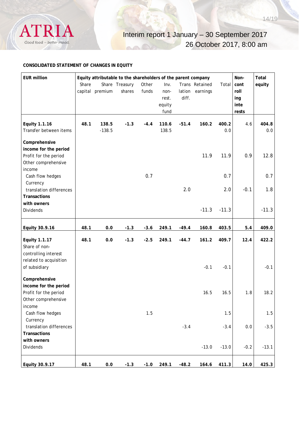

#### **CONSOLIDATED STATEMENT OF CHANGES IN EQUITY**

| <b>EUR million</b>                      |       | Equity attributable to the shareholders of the parent company |                |        |        |         |                |              | Non-   | Total   |
|-----------------------------------------|-------|---------------------------------------------------------------|----------------|--------|--------|---------|----------------|--------------|--------|---------|
|                                         | Share |                                                               | Share Treasury | Other  | Inv.   |         | Trans Retained | Total        | cont   | equity  |
|                                         |       | capital premium                                               | shares         | funds  | non-   | lation  | earnings       |              | roll   |         |
|                                         |       |                                                               |                |        | rest.  | diff.   |                |              | ing    |         |
|                                         |       |                                                               |                |        | equity |         |                |              | inte   |         |
|                                         |       |                                                               |                |        | fund   |         |                |              | rests  |         |
|                                         |       |                                                               |                |        | 110.6  |         |                |              |        |         |
| Equity 1.1.16<br>Transfer between items | 48.1  | 138.5<br>$-138.5$                                             | $-1.3$         | $-4.4$ | 138.5  | $-51.4$ | 160.2          | 400.2<br>0.0 | 4.6    | 404.8   |
|                                         |       |                                                               |                |        |        |         |                |              |        | 0.0     |
| Comprehensive                           |       |                                                               |                |        |        |         |                |              |        |         |
| income for the period                   |       |                                                               |                |        |        |         |                |              |        |         |
| Profit for the period                   |       |                                                               |                |        |        |         | 11.9           | 11.9         | 0.9    | 12.8    |
| Other comprehensive                     |       |                                                               |                |        |        |         |                |              |        |         |
| income                                  |       |                                                               |                |        |        |         |                |              |        |         |
| Cash flow hedges                        |       |                                                               |                | 0.7    |        |         |                | 0.7          |        | 0.7     |
| Currency                                |       |                                                               |                |        |        |         |                |              |        |         |
| translation differences                 |       |                                                               |                |        |        | 2.0     |                | 2.0          | $-0.1$ | 1.8     |
| <b>Transactions</b>                     |       |                                                               |                |        |        |         |                |              |        |         |
| with owners                             |       |                                                               |                |        |        |         |                |              |        |         |
| <b>Dividends</b>                        |       |                                                               |                |        |        |         | $-11.3$        | $-11.3$      |        | $-11.3$ |
|                                         |       |                                                               |                |        |        |         |                |              |        |         |
| Equity 30.9.16                          | 48.1  | 0.0                                                           | $-1.3$         | $-3.6$ | 249.1  | $-49.4$ | 160.8          | 403.5        | 5.4    | 409.0   |
| <b>Equity 1.1.17</b>                    | 48.1  | 0.0                                                           | $-1.3$         | $-2.5$ | 249.1  | $-44.7$ | 161.2          | 409.7        | 12.4   | 422.2   |
| Share of non-                           |       |                                                               |                |        |        |         |                |              |        |         |
| controlling interest                    |       |                                                               |                |        |        |         |                |              |        |         |
| related to acquisition                  |       |                                                               |                |        |        |         |                |              |        |         |
| of subsidiary                           |       |                                                               |                |        |        |         | $-0.1$         | $-0.1$       |        | $-0.1$  |
|                                         |       |                                                               |                |        |        |         |                |              |        |         |
| Comprehensive                           |       |                                                               |                |        |        |         |                |              |        |         |
| income for the period                   |       |                                                               |                |        |        |         |                |              |        |         |
| Profit for the period                   |       |                                                               |                |        |        |         | 16.5           | 16.5         | 1.8    | 18.2    |
| Other comprehensive                     |       |                                                               |                |        |        |         |                |              |        |         |
| income                                  |       |                                                               |                |        |        |         |                |              |        |         |
| Cash flow hedges                        |       |                                                               |                | 1.5    |        |         |                | 1.5          |        | 1.5     |
| Currency                                |       |                                                               |                |        |        |         |                |              |        |         |
| translation differences                 |       |                                                               |                |        |        | $-3.4$  |                | $-3.4$       | 0.0    | $-3.5$  |
| <b>Transactions</b>                     |       |                                                               |                |        |        |         |                |              |        |         |
| with owners                             |       |                                                               |                |        |        |         |                |              |        |         |
| Dividends                               |       |                                                               |                |        |        |         | $-13.0$        | $-13.0$      | $-0.2$ | $-13.1$ |
|                                         |       |                                                               |                |        |        |         |                |              |        |         |
| Equity 30.9.17                          | 48.1  | $0.0\,$                                                       | $-1.3$         | $-1.0$ | 249.1  | $-48.2$ | 164.6          | 411.3        | 14.0   | 425.3   |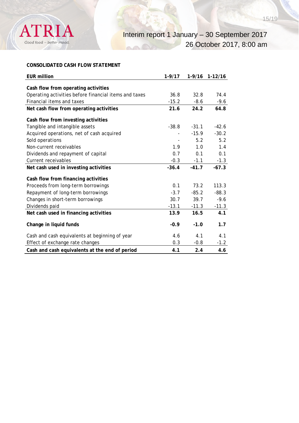

# **CONSOLIDATED CASH FLOW STATEMENT**

| <b>EUR million</b>                                    | $1 - 9/17$ |         | 1-9/16 1-12/16 |
|-------------------------------------------------------|------------|---------|----------------|
| Cash flow from operating activities                   |            |         |                |
| Operating activities before financial items and taxes | 36.8       | 32.8    | 74.4           |
| Financial items and taxes                             | $-15.2$    | $-8.6$  | $-9.6$         |
| Net cash flow from operating activities               | 21.6       | 24.2    | 64.8           |
| Cash flow from investing activities                   |            |         |                |
| Tangible and intangible assets                        | $-38.8$    | $-31.1$ | $-42.6$        |
| Acquired operations, net of cash acquired             |            | $-15.9$ | $-30.2$        |
| Sold operations                                       |            | 5.2     | 5.2            |
| Non-current receivables                               | 1.9        | 1.0     | 1.4            |
| Dividends and repayment of capital                    | 0.7        | 0.1     | 0.1            |
| Current receivables                                   | $-0.3$     | $-1.1$  | $-1.3$         |
| Net cash used in investing activities                 | $-36.4$    | $-41.7$ | $-67.3$        |
| Cash flow from financing activities                   |            |         |                |
| Proceeds from long-term borrowings                    | 0.1        | 73.2    | 113.3          |
| Repayment of long-term borrowings                     | $-3.7$     | $-85.2$ | $-88.3$        |
| Changes in short-term borrowings                      | 30.7       | 39.7    | $-9.6$         |
| Dividends paid                                        | $-13.1$    | $-11.3$ | $-11.3$        |
| Net cash used in financing activities                 | 13.9       | 16.5    | 4.1            |
| Change in liquid funds                                | $-0.9$     | $-1.0$  | 1.7            |
| Cash and cash equivalents at beginning of year        | 4.6        | 4.1     | 4.1            |
| Effect of exchange rate changes                       | 0.3        | $-0.8$  | $-1.2$         |
| Cash and cash equivalents at the end of period        | 4.1        | 2.4     | 4.6            |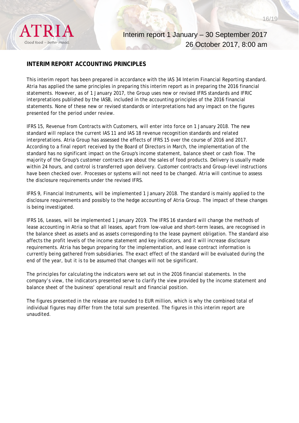Good food - better mood

Interim report 1 January – 30 September 2017 26 October 2017, 8:00 am

# **INTERIM REPORT ACCOUNTING PRINCIPLES**

This interim report has been prepared in accordance with the IAS 34 Interim Financial Reporting standard. Atria has applied the same principles in preparing this interim report as in preparing the 2016 financial statements. However, as of 1 January 2017, the Group uses new or revised IFRS standards and IFRIC interpretations published by the IASB, included in the accounting principles of the 2016 financial statements. None of these new or revised standards or interpretations had any impact on the figures presented for the period under review.

IFRS 15, Revenue from Contracts with Customers, will enter into force on 1 January 2018. The new standard will replace the current IAS 11 and IAS 18 revenue recognition standards and related interpretations. Atria Group has assessed the effects of IFRS 15 over the course of 2016 and 2017. According to a final report received by the Board of Directors in March, the implementation of the standard has no significant impact on the Group's income statement, balance sheet or cash flow. The majority of the Group's customer contracts are about the sales of food products. Delivery is usually made within 24 hours, and control is transferred upon delivery. Customer contracts and Group-level instructions have been checked over. Processes or systems will not need to be changed. Atria will continue to assess the disclosure requirements under the revised IFRS.

IFRS 9, Financial Instruments, will be implemented 1 January 2018. The standard is mainly applied to the disclosure requirements and possibly to the hedge accounting of Atria Group. The impact of these changes is being investigated.

IFRS 16, Leases, will be implemented 1 January 2019. The IFRS 16 standard will change the methods of lease accounting in Atria so that all leases, apart from low-value and short-term leases, are recognised in the balance sheet as assets and as assets corresponding to the lease payment obligation. The standard also affects the profit levels of the income statement and key indicators, and it will increase disclosure requirements. Atria has begun preparing for the implementation, and lease contract information is currently being gathered from subsidiaries. The exact effect of the standard will be evaluated during the end of the year, but it is to be assumed that changes will not be significant.

The principles for calculating the indicators were set out in the 2016 financial statements. In the company's view, the indicators presented serve to clarify the view provided by the income statement and balance sheet of the business' operational result and financial position.

The figures presented in the release are rounded to EUR million, which is why the combined total of individual figures may differ from the total sum presented. The figures in this interim report are unaudited.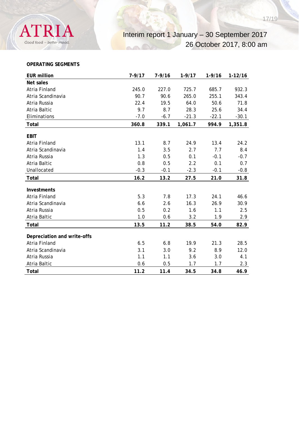# Interim report 1 January – 30 September 2017 26 October 2017, 8:00 am

#### **OPERATING SEGMENTS**

| <b>EUR million</b>                                  | $7 - 9/17$ | $7 - 9/16$ | $1 - 9/17$ | $1 - 9/16$ | $1 - 12/16$ |
|-----------------------------------------------------|------------|------------|------------|------------|-------------|
| Net sales                                           |            |            |            |            |             |
| Atria Finland                                       | 245.0      | 227.0      | 725.7      | 685.7      | 932.3       |
| Atria Scandinavia                                   | 90.7       | 90.6       | 265.0      | 255.1      | 343.4       |
| Atria Russia                                        | 22.4       | 19.5       | 64.0       | 50.6       | 71.8        |
| Atria Baltic                                        | 9.7        | 8.7        | 28.3       | 25.6       | 34.4        |
| Eliminations                                        | $-7.0$     | $-6.7$     | $-21.3$    | $-22.1$    | $-30.1$     |
| Total                                               | 360.8      | 339.1      | 1,061.7    | 994.9      | 1,351.8     |
| <b>EBIT</b>                                         |            |            |            |            |             |
| Atria Finland                                       | 13.1       | 8.7        | 24.9       | 13.4       | 24.2        |
| Atria Scandinavia                                   | 1.4        | 3.5        | 2.7        | 7.7        | 8.4         |
| Atria Russia                                        | 1.3        | 0.5        | 0.1        | $-0.1$     | $-0.7$      |
| Atria Baltic                                        | 0.8        | 0.5        | 2.2        | 0.1        | 0.7         |
| Unallocated                                         | $-0.3$     | $-0.1$     | $-2.3$     | $-0.1$     | $-0.8$      |
| Total                                               | 16.2       | 13.2       | 27.5       | 21.0       | 31.8        |
|                                                     |            |            |            |            |             |
| Investments                                         |            |            |            |            |             |
| Atria Finland                                       | 5.3        | 7.8        | 17.3       | 24.1       | 46.6        |
| Atria Scandinavia                                   | 6.6        | 2.6        | 16.3       | 26.9       | 30.9        |
| Atria Russia                                        | 0.5        | 0.2        | 1.6        | 1.1        | 2.5         |
| Atria Baltic                                        | 1.0        | 0.6        | 3.2        | 1.9        | 2.9         |
| <b>Total</b>                                        | 13.5       | 11.2       | 38.5       | 54.0       | 82.9        |
|                                                     |            |            |            |            |             |
| Depreciation and write-offs<br><b>Atria Finland</b> |            |            |            |            |             |
|                                                     | 6.5        | 6.8        | 19.9       | 21.3       | 28.5        |
| Atria Scandinavia                                   | 3.1        | 3.0        | 9.2        | 8.9        | 12.0        |
| Atria Russia                                        | 1.1        | 1.1        | 3.6        | 3.0        | 4.1         |
| Atria Baltic                                        | 0.6        | 0.5        | 1.7        | 1.7        | 2.3         |
| Total                                               | 11.2       | 11.4       | 34.5       | 34.8       | 46.9        |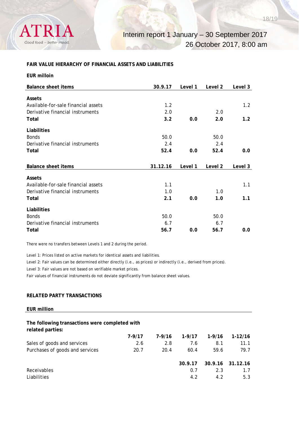

#### **FAIR VALUE HIERARCHY OF FINANCIAL ASSETS AND LIABILITIES**

| <b>Balance sheet items</b>          | 30.9.17  | Level 1 | Level 2 | Level 3 |
|-------------------------------------|----------|---------|---------|---------|
|                                     |          |         |         |         |
| Assets                              |          |         |         |         |
| Available-for-sale financial assets | 1.2      |         |         | 1.2     |
| Derivative financial instruments    | 2.0      |         | 2.0     |         |
| Total                               | 3.2      | 0.0     | 2.0     | 1.2     |
| Liabilities                         |          |         |         |         |
| <b>Bonds</b>                        | 50.0     |         | 50.0    |         |
| Derivative financial instruments    | 2.4      |         | 2.4     |         |
| Total                               | 52.4     | 0.0     | 52.4    | 0.0     |
|                                     |          |         |         |         |
| <b>Balance sheet items</b>          | 31.12.16 | Level 1 | Level 2 | Level 3 |
|                                     |          |         |         |         |
| Assets                              |          |         |         |         |
| Available-for-sale financial assets | 1.1      |         |         | 1.1     |
| Derivative financial instruments    | 1.0      |         | 1.0     |         |
| Total                               | 2.1      | 0.0     | 1.0     | 1.1     |
| Liabilities                         |          |         |         |         |
| <b>Bonds</b>                        | 50.0     |         | 50.0    |         |
| Derivative financial instruments    | 6.7      |         | 6.7     |         |
| Total                               | 56.7     | 0.0     | 56.7    | 0.0     |

There were no transfers between Levels 1 and 2 during the period.

Level 1: Prices listed on active markets for identical assets and liabilities.

Level 2: Fair values can be determined either directly (i.e., as prices) or indirectly (i.e., derived from prices).

Level 3: Fair values are not based on verifiable market prices.

Fair values of financial instruments do not deviate significantly from balance sheet values.

#### **RELATED PARTY TRANSACTIONS**

#### **EUR million**

#### **The following transactions were completed with related parties:**

|                                 | 7-9/17 | 7-9/16 | $1-9/17$ | $1 - 9/16$ | 1-12/16          |
|---------------------------------|--------|--------|----------|------------|------------------|
| Sales of goods and services     | 2.6    | 2.8    | 7.6      | 8.1        | 11.1             |
| Purchases of goods and services | 20.7   | 20.4   | 60.4     | 59.6       | 79.7             |
|                                 |        |        |          |            |                  |
|                                 |        |        | 30.9.17  |            | 30.9.16 31.12.16 |
| <b>Receivables</b>              |        |        | 0.7      | 2.3        | 17               |
| Liabilities                     |        |        | 4.2      | 42         | 5.3              |